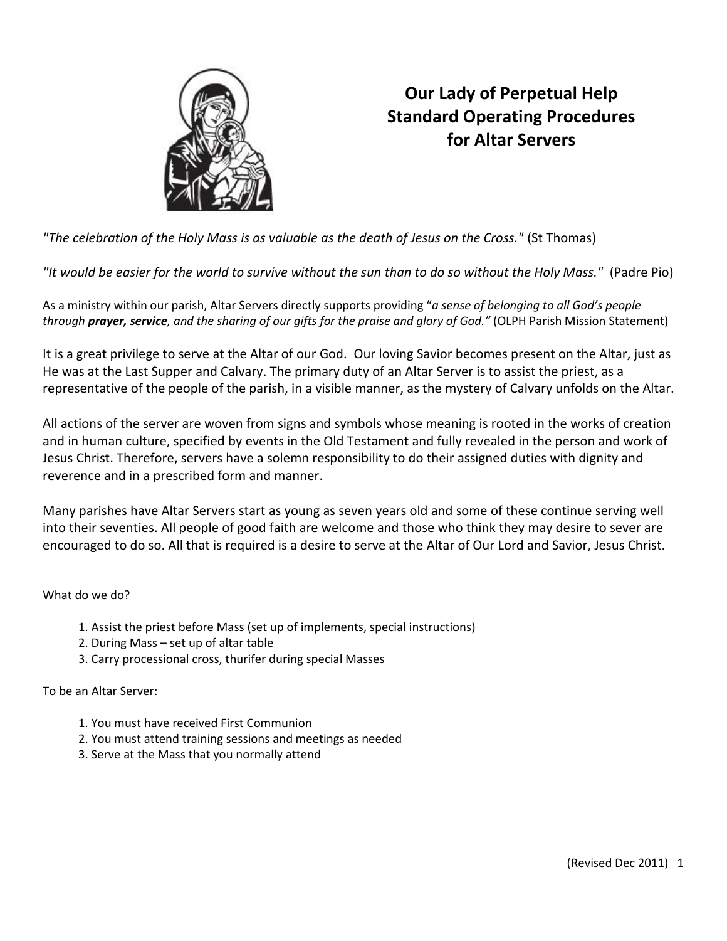

# **Our Lady of Perpetual Help Standard Operating Procedures for Altar Servers**

*"The celebration of the Holy Mass is as valuable as the death of Jesus on the Cross."* (St Thomas)

*"It would be easier for the world to survive without the sun than to do so without the Holy Mass."* (Padre Pio)

As a ministry within our parish, Altar Servers directly supports providing "*a sense of belonging to all God's people through prayer, service, and the sharing of our gifts for the praise and glory of God."* (OLPH Parish Mission Statement)

It is a great privilege to serve at the Altar of our God. Our loving Savior becomes present on the Altar, just as He was at the Last Supper and Calvary. The primary duty of an Altar Server is to assist the priest, as a representative of the people of the parish, in a visible manner, as the mystery of Calvary unfolds on the Altar.

All actions of the server are woven from signs and symbols whose meaning is rooted in the works of creation and in human culture, specified by events in the Old Testament and fully revealed in the person and work of Jesus Christ. Therefore, servers have a solemn responsibility to do their assigned duties with dignity and reverence and in a prescribed form and manner.

Many parishes have Altar Servers start as young as seven years old and some of these continue serving well into their seventies. All people of good faith are welcome and those who think they may desire to sever are encouraged to do so. All that is required is a desire to serve at the Altar of Our Lord and Savior, Jesus Christ.

What do we do?

- 1. Assist the priest before Mass (set up of implements, special instructions)
- 2. During Mass set up of altar table
- 3. Carry processional cross, thurifer during special Masses

To be an Altar Server:

- 1. You must have received First Communion
- 2. You must attend training sessions and meetings as needed
- 3. Serve at the Mass that you normally attend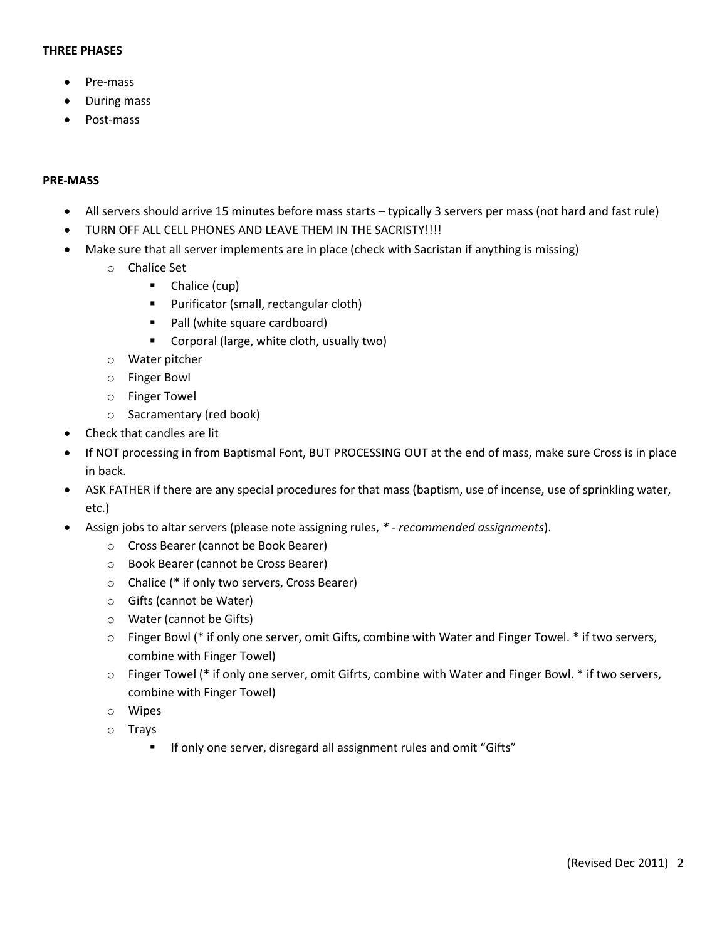#### **THREE PHASES**

- Pre-mass
- During mass
- Post-mass

#### **PRE-MASS**

- All servers should arrive 15 minutes before mass starts typically 3 servers per mass (not hard and fast rule)
- TURN OFF ALL CELL PHONES AND LEAVE THEM IN THE SACRISTY!!!!
- Make sure that all server implements are in place (check with Sacristan if anything is missing)
	- o Chalice Set
		- **Chalice (cup)**
		- **Purificator (small, rectangular cloth)**
		- Pall (white square cardboard)
		- **Corporal (large, white cloth, usually two)**
	- o Water pitcher
	- o Finger Bowl
	- o Finger Towel
	- o Sacramentary (red book)
- Check that candles are lit
- If NOT processing in from Baptismal Font, BUT PROCESSING OUT at the end of mass, make sure Cross is in place in back.
- ASK FATHER if there are any special procedures for that mass (baptism, use of incense, use of sprinkling water, etc.)
- Assign jobs to altar servers (please note assigning rules, *\* - recommended assignments*).
	- o Cross Bearer (cannot be Book Bearer)
	- o Book Bearer (cannot be Cross Bearer)
	- o Chalice (\* if only two servers, Cross Bearer)
	- o Gifts (cannot be Water)
	- o Water (cannot be Gifts)
	- o Finger Bowl (\* if only one server, omit Gifts, combine with Water and Finger Towel. \* if two servers, combine with Finger Towel)
	- $\circ$  Finger Towel (\* if only one server, omit Gifrts, combine with Water and Finger Bowl. \* if two servers, combine with Finger Towel)
	- o Wipes
	- o Trays
		- **IF OLTA IF ONEXA** If one server, disregard all assignment rules and omit "Gifts"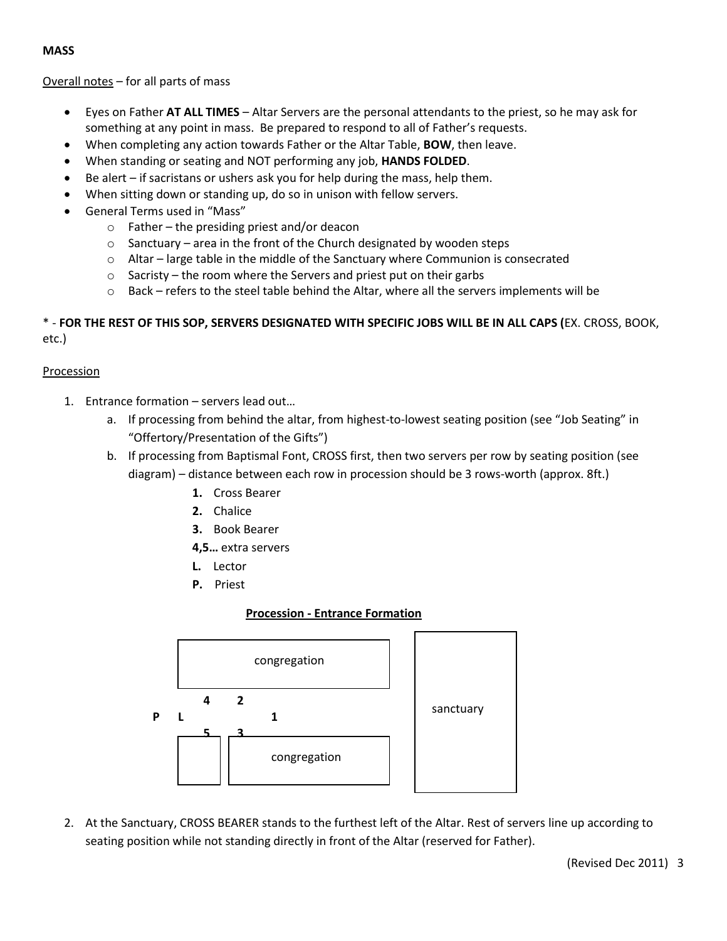### **MASS**

Overall notes – for all parts of mass

- Eyes on Father **AT ALL TIMES** Altar Servers are the personal attendants to the priest, so he may ask for something at any point in mass. Be prepared to respond to all of Father's requests.
- When completing any action towards Father or the Altar Table, **BOW**, then leave.
- When standing or seating and NOT performing any job, **HANDS FOLDED**.
- Be alert if sacristans or ushers ask you for help during the mass, help them.
- When sitting down or standing up, do so in unison with fellow servers.
- General Terms used in "Mass"
	- o Father the presiding priest and/or deacon
	- o Sanctuary area in the front of the Church designated by wooden steps
	- $\circ$  Altar large table in the middle of the Sanctuary where Communion is consecrated
	- $\circ$  Sacristy the room where the Servers and priest put on their garbs
	- $\circ$  Back refers to the steel table behind the Altar, where all the servers implements will be

# \* - **FOR THE REST OF THIS SOP, SERVERS DESIGNATED WITH SPECIFIC JOBS WILL BE IN ALL CAPS (**EX. CROSS, BOOK, etc.)

### **Procession**

- 1. Entrance formation servers lead out…
	- a. If processing from behind the altar, from highest-to-lowest seating position (see "Job Seating" in "Offertory/Presentation of the Gifts")
	- b. If processing from Baptismal Font, CROSS first, then two servers per row by seating position (see diagram) – distance between each row in procession should be 3 rows-worth (approx. 8ft.)
		- **1.** Cross Bearer
		- **2.** Chalice
		- **3.** Book Bearer
		- **4,5…** extra servers
		- **L.** Lector
		- **P.** Priest

# **Procession - Entrance Formation**



2. At the Sanctuary, CROSS BEARER stands to the furthest left of the Altar. Rest of servers line up according to seating position while not standing directly in front of the Altar (reserved for Father).

(Revised Dec 2011) 3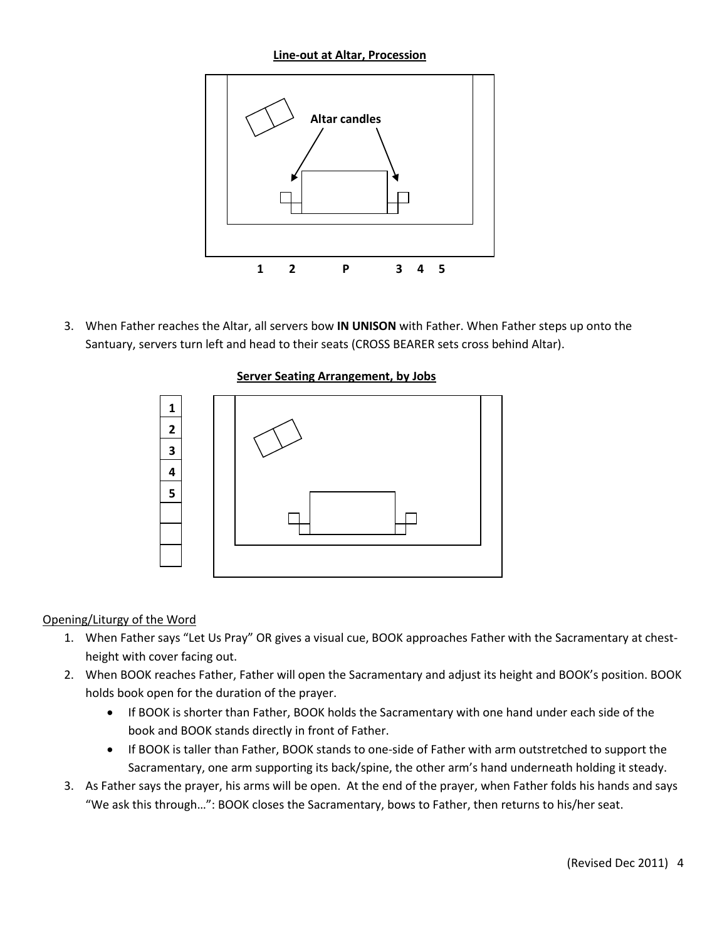**Line-out at Altar, Procession**



3. When Father reaches the Altar, all servers bow **IN UNISON** with Father. When Father steps up onto the Santuary, servers turn left and head to their seats (CROSS BEARER sets cross behind Altar).





# Opening/Liturgy of the Word

- 1. When Father says "Let Us Pray" OR gives a visual cue, BOOK approaches Father with the Sacramentary at chestheight with cover facing out.
- 2. When BOOK reaches Father, Father will open the Sacramentary and adjust its height and BOOK's position. BOOK holds book open for the duration of the prayer.
	- If BOOK is shorter than Father, BOOK holds the Sacramentary with one hand under each side of the book and BOOK stands directly in front of Father.
	- If BOOK is taller than Father, BOOK stands to one-side of Father with arm outstretched to support the Sacramentary, one arm supporting its back/spine, the other arm's hand underneath holding it steady.
- 3. As Father says the prayer, his arms will be open. At the end of the prayer, when Father folds his hands and says "We ask this through…": BOOK closes the Sacramentary, bows to Father, then returns to his/her seat.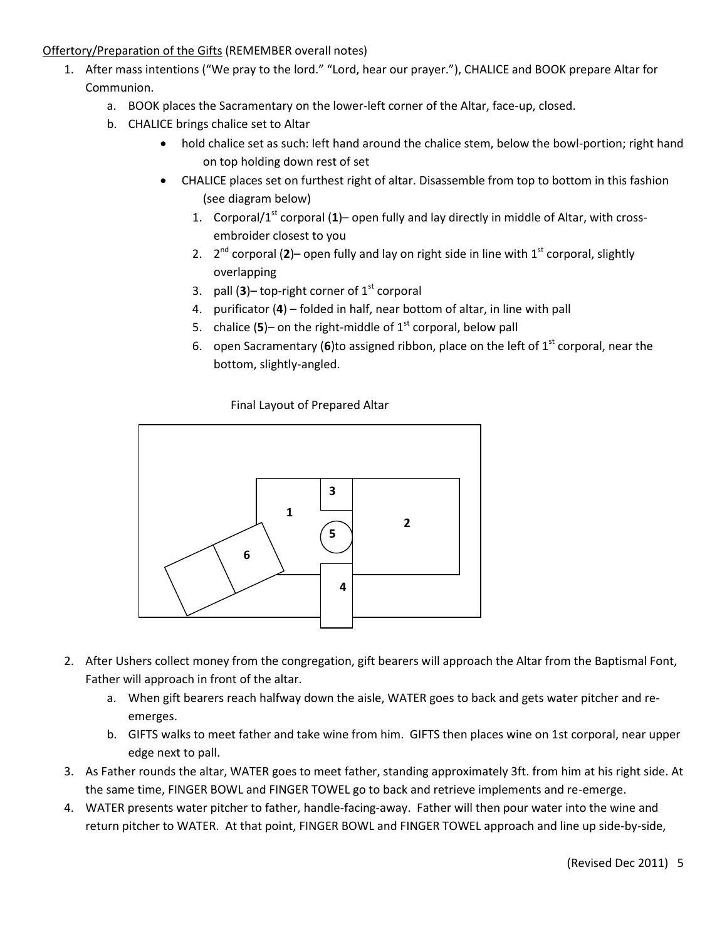# Offertory/Preparation of the Gifts (REMEMBER overall notes)

- 1. After mass intentions ("We pray to the lord." "Lord, hear our prayer."), CHALICE and BOOK prepare Altar for Communion.
	- a. BOOK places the Sacramentary on the lower-left corner of the Altar, face-up, closed.
	- b. CHALICE brings chalice set to Altar
		- hold chalice set as such: left hand around the chalice stem, below the bowl-portion; right hand on top holding down rest of set
		- CHALICE places set on furthest right of altar. Disassemble from top to bottom in this fashion (see diagram below)
			- 1. Corporal/1st corporal (**1**)– open fully and lay directly in middle of Altar, with crossembroider closest to you
			- 2.  $2^{nd}$  corporal (2)– open fully and lay on right side in line with  $1^{st}$  corporal, slightly overlapping
			- 3. pall  $(3)$  top-right corner of  $1<sup>st</sup>$  corporal
			- 4. purificator (**4**) folded in half, near bottom of altar, in line with pall
			- 5. chalice  $(5)$  on the right-middle of  $1<sup>st</sup>$  corporal, below pall
			- 6. open Sacramentary (6)to assigned ribbon, place on the left of  $1<sup>st</sup>$  corporal, near the bottom, slightly-angled.

Final Layout of Prepared Altar



- 2. After Ushers collect money from the congregation, gift bearers will approach the Altar from the Baptismal Font, Father will approach in front of the altar.
	- a. When gift bearers reach halfway down the aisle, WATER goes to back and gets water pitcher and reemerges.
	- b. GIFTS walks to meet father and take wine from him. GIFTS then places wine on 1st corporal, near upper edge next to pall.
- 3. As Father rounds the altar, WATER goes to meet father, standing approximately 3ft. from him at his right side. At the same time, FINGER BOWL and FINGER TOWEL go to back and retrieve implements and re-emerge.
- 4. WATER presents water pitcher to father, handle-facing-away. Father will then pour water into the wine and return pitcher to WATER. At that point, FINGER BOWL and FINGER TOWEL approach and line up side-by-side,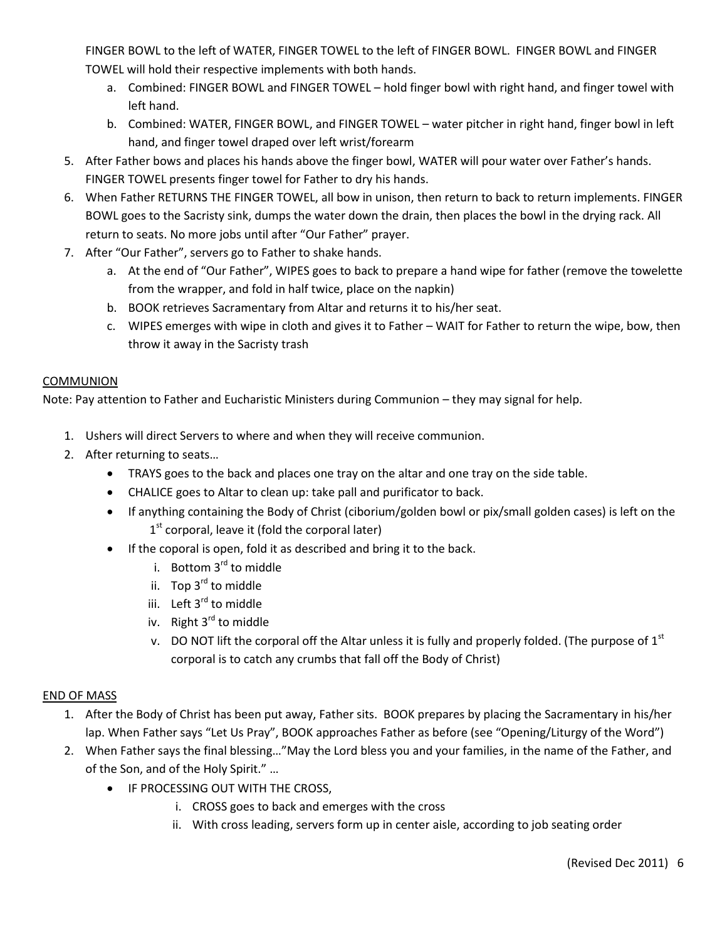FINGER BOWL to the left of WATER, FINGER TOWEL to the left of FINGER BOWL. FINGER BOWL and FINGER TOWEL will hold their respective implements with both hands.

- a. Combined: FINGER BOWL and FINGER TOWEL hold finger bowl with right hand, and finger towel with left hand.
- b. Combined: WATER, FINGER BOWL, and FINGER TOWEL water pitcher in right hand, finger bowl in left hand, and finger towel draped over left wrist/forearm
- 5. After Father bows and places his hands above the finger bowl, WATER will pour water over Father's hands. FINGER TOWEL presents finger towel for Father to dry his hands.
- 6. When Father RETURNS THE FINGER TOWEL, all bow in unison, then return to back to return implements. FINGER BOWL goes to the Sacristy sink, dumps the water down the drain, then places the bowl in the drying rack. All return to seats. No more jobs until after "Our Father" prayer.
- 7. After "Our Father", servers go to Father to shake hands.
	- a. At the end of "Our Father", WIPES goes to back to prepare a hand wipe for father (remove the towelette from the wrapper, and fold in half twice, place on the napkin)
	- b. BOOK retrieves Sacramentary from Altar and returns it to his/her seat.
	- c. WIPES emerges with wipe in cloth and gives it to Father WAIT for Father to return the wipe, bow, then throw it away in the Sacristy trash

# COMMUNION

Note: Pay attention to Father and Eucharistic Ministers during Communion – they may signal for help.

- 1. Ushers will direct Servers to where and when they will receive communion.
- 2. After returning to seats…
	- TRAYS goes to the back and places one tray on the altar and one tray on the side table.
	- CHALICE goes to Altar to clean up: take pall and purificator to back.
	- If anything containing the Body of Christ (ciborium/golden bowl or pix/small golden cases) is left on the 1<sup>st</sup> corporal, leave it (fold the corporal later)
	- If the coporal is open, fold it as described and bring it to the back.
		- i. Bottom  $3<sup>rd</sup>$  to middle
		- ii. Top 3<sup>rd</sup> to middle
		- iii. Left 3<sup>rd</sup> to middle
		- iv. Right  $3^{rd}$  to middle
		- v. DO NOT lift the corporal off the Altar unless it is fully and properly folded. (The purpose of  $1<sup>st</sup>$ corporal is to catch any crumbs that fall off the Body of Christ)

# END OF MASS

- 1. After the Body of Christ has been put away, Father sits. BOOK prepares by placing the Sacramentary in his/her lap. When Father says "Let Us Pray", BOOK approaches Father as before (see "Opening/Liturgy of the Word")
- 2. When Father says the final blessing…"May the Lord bless you and your families, in the name of the Father, and of the Son, and of the Holy Spirit." …
	- **IF PROCESSING OUT WITH THE CROSS,** 
		- i. CROSS goes to back and emerges with the cross
		- ii. With cross leading, servers form up in center aisle, according to job seating order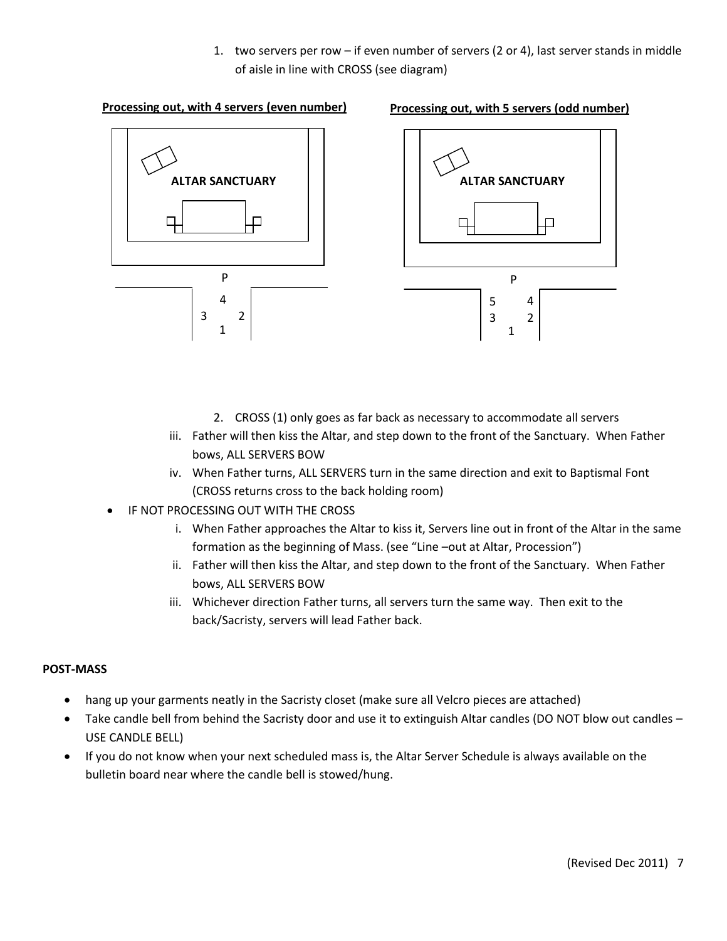1. two servers per row – if even number of servers (2 or 4), last server stands in middle of aisle in line with CROSS (see diagram)

#### **Processing out, with 4 servers (even number)**





- 2. CROSS (1) only goes as far back as necessary to accommodate all servers
- iii. Father will then kiss the Altar, and step down to the front of the Sanctuary. When Father bows, ALL SERVERS BOW
- iv. When Father turns, ALL SERVERS turn in the same direction and exit to Baptismal Font (CROSS returns cross to the back holding room)
- IF NOT PROCESSING OUT WITH THE CROSS
	- i. When Father approaches the Altar to kiss it, Servers line out in front of the Altar in the same formation as the beginning of Mass. (see "Line –out at Altar, Procession")
	- ii. Father will then kiss the Altar, and step down to the front of the Sanctuary. When Father bows, ALL SERVERS BOW
	- iii. Whichever direction Father turns, all servers turn the same way. Then exit to the back/Sacristy, servers will lead Father back.

#### **POST-MASS**

- hang up your garments neatly in the Sacristy closet (make sure all Velcro pieces are attached)
- Take candle bell from behind the Sacristy door and use it to extinguish Altar candles (DO NOT blow out candles USE CANDLE BELL)
- If you do not know when your next scheduled mass is, the Altar Server Schedule is always available on the bulletin board near where the candle bell is stowed/hung.